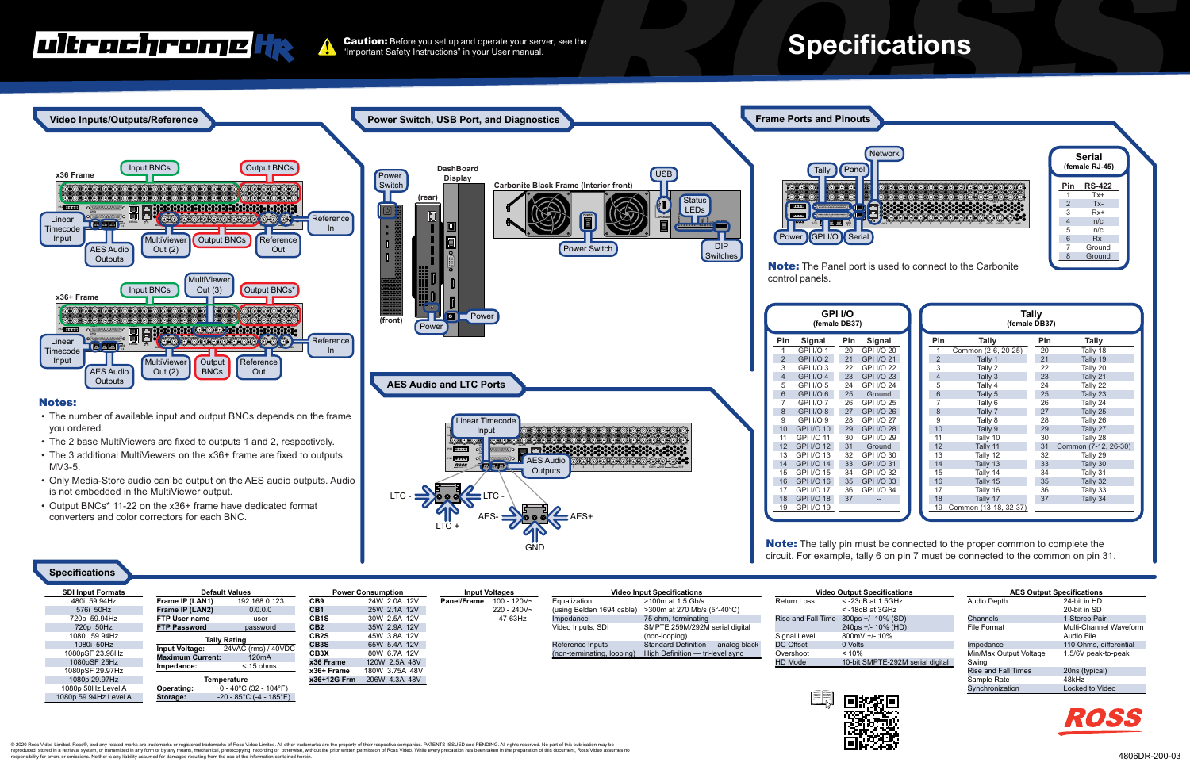@ 2020 Ross Video Limited. Ross®, and any related marks are trademarks or registered trademarks of Ross Video Limited. All other trademarks are the property of their respective companies. PATENTS ISSUED and PENDING. All ri reproduced, stored in a retrieval system, or transmitted in any form or by any means, mechanical, photocopying, recording or otherwise, without the prior written permission of Ross Video. While every precaution has been ta responsibility for errors or omissions. Neither is any liability assumed for damages resulting from the use of the information contained herein.

**Caution:** Before you set up and operate your server, see the "Important Safety Instructions" in your User manual.

|   | Network |  |  |     |
|---|---------|--|--|-----|
|   |         |  |  |     |
| ī |         |  |  |     |
|   |         |  |  |     |
|   |         |  |  |     |
| 유 | OUT     |  |  | RFF |
|   |         |  |  |     |

|                | Serial<br>(female RJ-45) |  |  |  |
|----------------|--------------------------|--|--|--|
| Pin            | <b>RS-422</b>            |  |  |  |
| 1              | Tx+                      |  |  |  |
| $\overline{2}$ | $Tx -$                   |  |  |  |
| 3              | $Rx+$                    |  |  |  |
| $\overline{4}$ | n/c                      |  |  |  |
| 5              | n/c                      |  |  |  |
| 6              | $Rx-$                    |  |  |  |
| 7              | Ground                   |  |  |  |
| 8              | Ground                   |  |  |  |

**Note:** The Panel port is used to connect to the Carbonite

 $0 - 40^{\circ}$ C (32 - 104 $^{\circ}$ F) -20 - 85°C (-4 - 185°F)

|                   | <b>Tally</b><br>(female DB37) |                       |     |                      |  |
|-------------------|-------------------------------|-----------------------|-----|----------------------|--|
| gnal              | Pin                           | <b>Tally</b>          | Pin | Tally                |  |
| $I/O$ 20          |                               | Common (2-6, 20-25)   | 20  | Tally 18             |  |
| $I/O$ 21          | $\overline{2}$                | Tally 1               | 21  | Tally 19             |  |
| $I/O$ 22          | 3                             | Tally 2               | 22  | Tally 20             |  |
| $I/O$ 23          | $\overline{4}$                | Tally 3               | 23  | Tally 21             |  |
| $I/O$ 24          | 5                             | Tally 4               | 24  | Tally 22             |  |
| ound              | 6                             | Tally 5               | 25  | Tally 23             |  |
| I/O <sub>25</sub> | 7                             | Tally 6               | 26  | Tally 24             |  |
| $I/O$ 26          | 8                             | Tally 7               | 27  | Tally 25             |  |
| $I/O$ 27          | 9                             | Tally 8               | 28  | Tally 26             |  |
| $I/O$ 28          | 10                            | Tally 9               | 29  | Tally 27             |  |
| <b>I/O 29</b>     | 11                            | Tally 10              | 30  | Tally 28             |  |
| ound              | 12                            | Tally 11              | 31  | Common (7-12, 26-30) |  |
| $I/O$ 30          | 13                            | Tally 12              | 32  | Tally 29             |  |
| $I/O$ 31          | 14                            | Tally 13              | 33  | Tally 30             |  |
| $I/O$ 32          | 15                            | Tally 14              | 34  | Tally 31             |  |
| $I/O$ 33          | 16                            | Tally 15              | 35  | Tally 32             |  |
| $I/O$ 34          | 17                            | Tally 16              | 36  | Tally 33             |  |
|                   | 18                            | Tally 17              | 37  | Tally 34             |  |
|                   | 19                            | Common (13-18, 32-37) |     |                      |  |

**Note:** The tally pin must be connected to the proper common to complete the circuit. For example, tally 6 on pin 7 must be connected to the common on pin 31.

Rise and Fall Time

Signal Level DC Offset Overshoot HD Mode



| <b>Output Specifications</b>     | <b>AES Output Specifications</b> |                        |  |
|----------------------------------|----------------------------------|------------------------|--|
| $<$ -23dB at 1.5GHz              | Audio Depth                      | 24-bit in HD           |  |
| $<$ -18dB at 3GHz                |                                  | 20-bit in SD           |  |
| $800$ ps +/- 10% (SD)            | Channels                         | 1 Stereo Pair          |  |
| 240ps +/- 10% (HD)               | File Format                      | Multi-Channel Waveform |  |
| $800mV + 4$ 10%                  |                                  | Audio File             |  |
| 0 Volts                          | Impedance                        | 110 Ohms, differential |  |
| $< 10\%$                         | Min/Max Output Voltage           | 1.5/6V peak-to-peak    |  |
| 10-bit SMPTE-292M serial digital | Swing                            |                        |  |
|                                  | <b>Rise and Fall Times</b>       | 20ns (typical)         |  |
|                                  | Sample Rate                      | 48kHz                  |  |
|                                  | Synchronization                  | Locked to Video        |  |
| 13651                            |                                  |                        |  |





### witrachrome He

720p 59.94Hz 720p 50Hz 1080i 59.94Hz 1080i 50Hz 1080pSF 23.98Hz 1080pSF 25Hz 1080pSF 29.97Hz 1080p 29.97Hz 1080p 50Hz Level A 1080p 59.94Hz Level A

**FTP User name FTP Password**

user password

**Tally Rating**

**Input Voltage: Maximum Current: Impedance:**

24VAC (rms) / 40VDC 120mA < 15 ohms

**Temperature**

**Operating: Storage:**

**CB1S CB2 CB2S CB3S CB3X x36 Frame x36+ Frame**

**x36+12G Frm** 206W 4.3A 48V

30W 2.5A 12V 35W 2.9A 12V 45W 3.8A 12V 65W 5.4A 12V 80W 6.7A 12V 120W 2.5A 48V 180W 3.75A 48V 47-63Hz

Impedance Video Inputs, SDI Reference Inputs 75 ohm, terminating

(non-terminating, looping) High Definition — tri-level sync

SMPTE 259M/292M serial digital

(non-looping)

Standard Definition — analog black